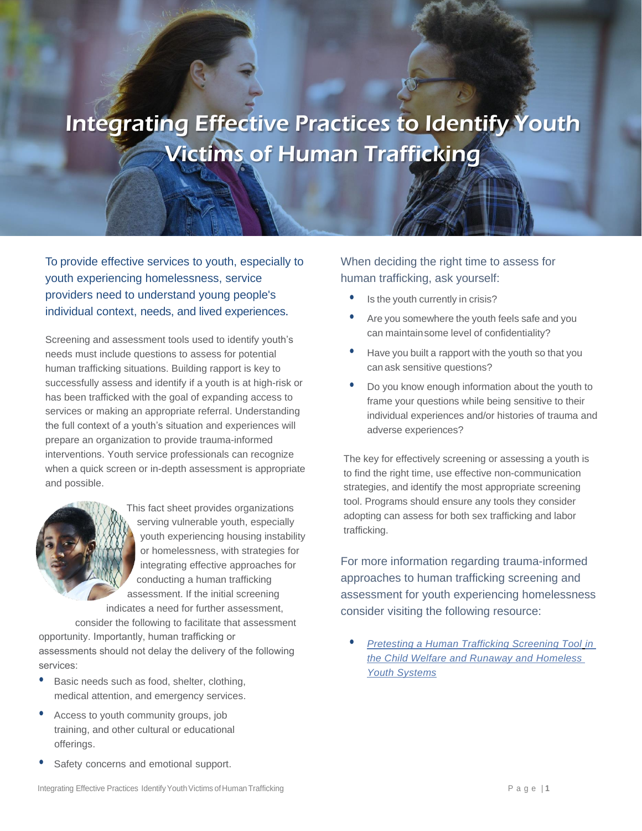## Integrating Effective Practices to Identify Youth Victims of Human Trafficking

To provide effective services to youth, especially to youth experiencing homelessness, service providers need to understand young people's individual context, needs, and lived experiences**.**

Screening and assessment tools used to identify youth's needs must include questions to assess for potential human trafficking situations. Building rapport is key to successfully assess and identify if a youth is at high-risk or has been trafficked with the goal of expanding access to services or making an appropriate referral. Understanding the full context of a youth's situation and experiences will prepare an organization to provide trauma-informed interventions. Youth service professionals can recognize when a quick screen or in-depth assessment is appropriate and possible.

This fact sheet provides organizations serving vulnerable youth, especially youth experiencing housing instability or homelessness, with strategies for integrating effective approaches for conducting a human trafficking assessment. If the initial screening indicates a need for further assessment,

consider the following to facilitate that assessment opportunity. Importantly, human trafficking or assessments should not delay the delivery of the following services:

- **•** Basic needs such as food, shelter, clothing, medical attention, and emergency services.
- **•** Access to youth community groups, job training, and other cultural or educational offerings.
- **•** Safety concerns and emotional support.

## When deciding the right time to assess for human trafficking, ask yourself:

- **•** Is the youth currently in crisis?
- **•** Are you somewhere the youth feels safe and you can maintainsome level of confidentiality?
- **•** Have you built a rapport with the youth so that you can ask sensitive questions?
- **•** Do you know enough information about the youth to frame your questions while being sensitive to their individual experiences and/or histories of trauma and adverse experiences?

The key for effectively screening or assessing a youth is to find the right time, use effective non-communication strategies, and identify the most appropriate screening tool. Programs should ensure any tools they consider adopting can assess for both sex trafficking and labor trafficking.

For more information regarding trauma-informed approaches to human trafficking screening and assessment for youth experiencing homelessness consider visiting the following resource:

**•** *[Pretesting a Human Trafficking Screening Tool](about:blank) in [the Child Welfare and Runaway and Homeless](about:blank) [Youth Systems](about:blank)*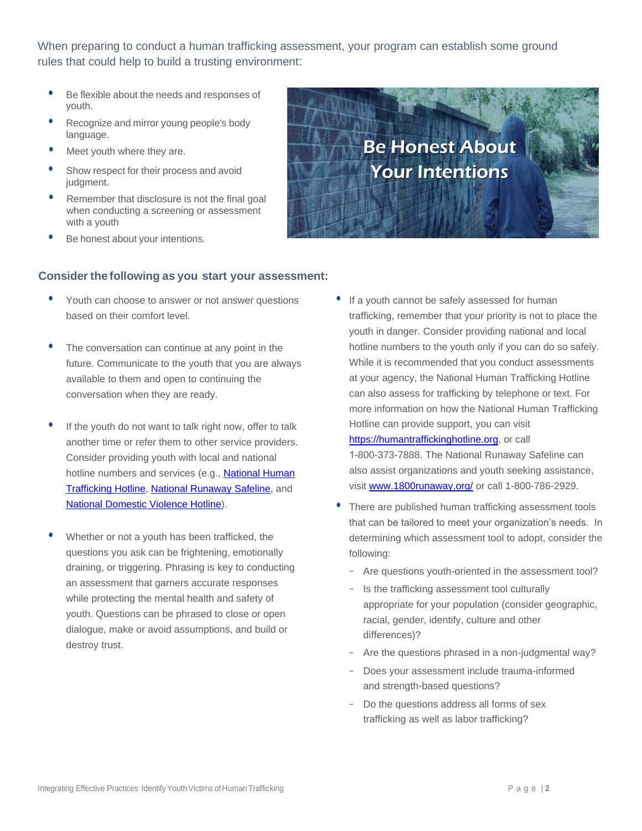When preparing to conduct a human trafficking assessment, your program can establish some ground rules that could help to build a trusting environment:

- **•** Be flexible about the needs and responses of youth.
- **•** Recognize and mirror young people's body language.
- **•** Meet youth where they are.
- **•** Show respect for their process and avoid judgment.
- **•** Remember that disclosure is not the final goal when conducting a screening or assessment with a youth
- **•** Be honest about your intentions.



## **Consider the following as you start your assessment:**

- **•** Youth can choose to answer or not answer questions based on their comfort level.
- **•** The conversation can continue at any point in the future. Communicate to the youth that you are always available to them and open to continuing the conversation when they are ready.
- **•** If the youth do not want to talk right now, offer to talk another time or refer them to other service providers. Consider providing youth with local and national hotline numbers and services (e.g., [National Human](https://humantraffickinghotline.org) [Trafficking Hotline,](https://humantraffickinghotline.org) [National Runaway Safeline](www.1800runaway.org/), and [National Domestic Violence Hotline\)](https://www.thehotline.org/).
- **•** Whether or not a youth has been trafficked, the questions you ask can be frightening, emotionally draining, or triggering. Phrasing is key to conducting an assessment that garners accurate responses while protecting the mental health and safety of youth. Questions can be phrased to close or open dialogue, make or avoid assumptions, and build or destroy trust.

**•** If a youth cannot be safely assessed for human trafficking, remember that your priority is not to place the youth in danger. Consider providing national and local hotline numbers to the youth only if you can do so safely. While it is recommended that you conduct assessments at your agency, the National Human Trafficking Hotline can also assess for trafficking by telephone or text. For more information on how the National Human Trafficking Hotline can provide support, you can visit

[https://humantraffickinghotline.org,](about:blank) or call

1-800-373-7888. The National Runaway Safeline can also assist organizations and youth seeking assistance, visit [www.1800runaway.org/](about:blank) or call 1-800-786-2929.

- **•** There are published human trafficking assessment tools that can be tailored to meet your organization's needs. In determining which assessment tool to adopt, consider the following:
	- Are questions youth-oriented in the assessment tool?
	- Is the trafficking assessment tool culturally appropriate for your population (consider geographic, racial, gender, identify, culture and other differences)?
	- Are the questions phrased in a non-judgmental way?
	- Does your assessment include trauma-informed and strength-based questions?
	- Do the questions address all forms of sex trafficking as well as labor trafficking?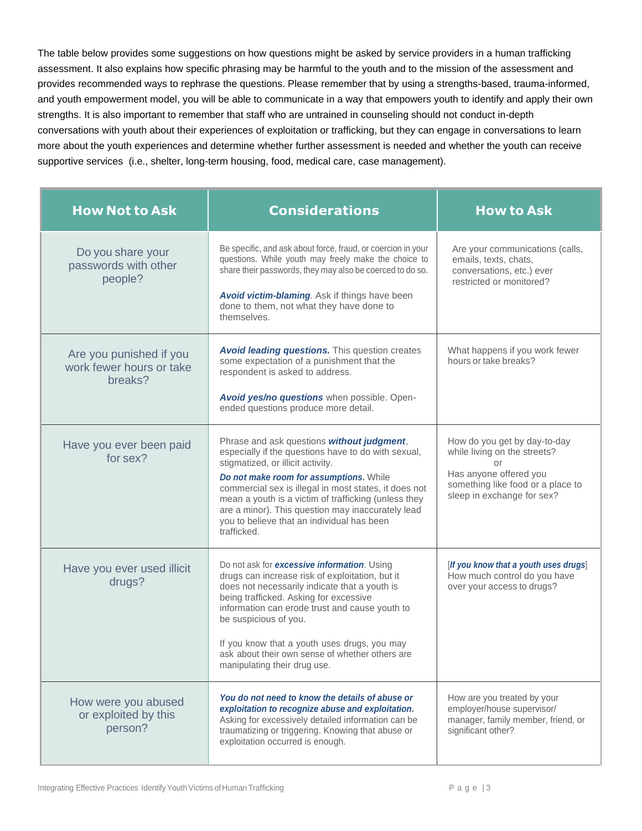The table below provides some suggestions on how questions might be asked by service providers in a human trafficking assessment. It also explains how specific phrasing may be harmful to the youth and to the mission of the assessment and provides recommended ways to rephrase the questions. Please remember that by using a strengths-based, trauma-informed, and youth empowerment model, you will be able to communicate in a way that empowers youth to identify and apply their own strengths. It is also important to remember that staff who are untrained in counseling should not conduct in-depth conversations with youth about their experiences of exploitation or trafficking, but they can engage in conversations to learn more about the youth experiences and determine whether further assessment is needed and whether the youth can receive supportive services (i.e., shelter, long-term housing, food, medical care, case management).

| <b>How Not to Ask</b>                                          | <b>Considerations</b>                                                                                                                                                                                                                                                                                                                                                                                                | <b>How to Ask</b>                                                                                                                                               |
|----------------------------------------------------------------|----------------------------------------------------------------------------------------------------------------------------------------------------------------------------------------------------------------------------------------------------------------------------------------------------------------------------------------------------------------------------------------------------------------------|-----------------------------------------------------------------------------------------------------------------------------------------------------------------|
| Do you share your<br>passwords with other<br>people?           | Be specific, and ask about force, fraud, or coercion in your<br>questions. While youth may freely make the choice to<br>share their passwords, they may also be coerced to do so.<br>Avoid victim-blaming. Ask if things have been<br>done to them, not what they have done to<br>themselves.                                                                                                                        | Are your communications (calls,<br>emails, texts, chats,<br>conversations, etc.) ever<br>restricted or monitored?                                               |
| Are you punished if you<br>work fewer hours or take<br>breaks? | <b>Avoid leading questions.</b> This question creates<br>some expectation of a punishment that the<br>respondent is asked to address.<br>Avoid yes/no questions when possible. Open-<br>ended questions produce more detail.                                                                                                                                                                                         | What happens if you work fewer<br>hours or take breaks?                                                                                                         |
| Have you ever been paid<br>for sex?                            | Phrase and ask questions without judgment,<br>especially if the questions have to do with sexual,<br>stigmatized, or illicit activity.<br>Do not make room for assumptions. While<br>commercial sex is illegal in most states, it does not<br>mean a youth is a victim of trafficking (unless they<br>are a minor). This question may inaccurately lead<br>you to believe that an individual has been<br>trafficked. | How do you get by day-to-day<br>while living on the streets?<br>or<br>Has anyone offered you<br>something like food or a place to<br>sleep in exchange for sex? |
| Have you ever used illicit<br>drugs?                           | Do not ask for excessive information. Using<br>drugs can increase risk of exploitation, but it<br>does not necessarily indicate that a youth is<br>being trafficked. Asking for excessive<br>information can erode trust and cause youth to<br>be suspicious of you.<br>If you know that a youth uses drugs, you may<br>ask about their own sense of whether others are<br>manipulating their drug use.              | [If you know that a youth uses drugs]<br>How much control do you have<br>over your access to drugs?                                                             |
| How were you abused<br>or exploited by this<br>person?         | You do not need to know the details of abuse or<br>exploitation to recognize abuse and exploitation.<br>Asking for excessively detailed information can be<br>traumatizing or triggering. Knowing that abuse or<br>exploitation occurred is enough.                                                                                                                                                                  | How are you treated by your<br>employer/house supervisor/<br>manager, family member, friend, or<br>significant other?                                           |